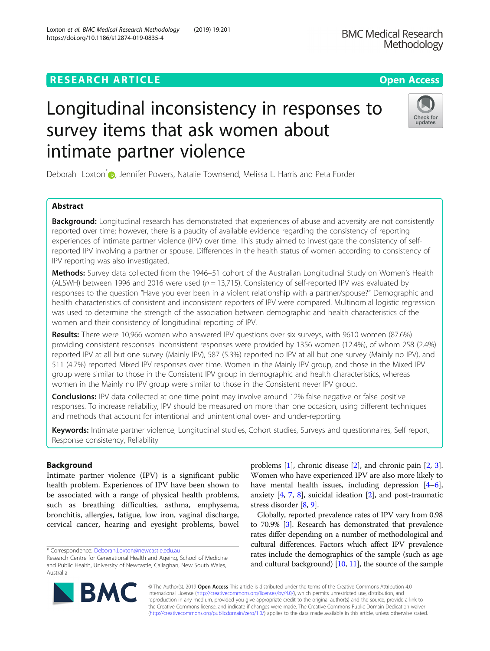# **RESEARCH ARTICLE Example 2014 CONSIDERING A RESEARCH ARTICLE**

# Longitudinal inconsistency in responses to survey items that ask women about intimate partner violence

Deborah Loxton[\\*](http://orcid.org/0000-0002-4745-8612)<sup>®</sup>, Jennifer Powers, Natalie Townsend, Melissa L. Harris and Peta Forder

# Abstract

Background: Longitudinal research has demonstrated that experiences of abuse and adversity are not consistently reported over time; however, there is a paucity of available evidence regarding the consistency of reporting experiences of intimate partner violence (IPV) over time. This study aimed to investigate the consistency of selfreported IPV involving a partner or spouse. Differences in the health status of women according to consistency of IPV reporting was also investigated.

Methods: Survey data collected from the 1946–51 cohort of the Australian Longitudinal Study on Women's Health (ALSWH) between 1996 and 2016 were used ( $n = 13,715$ ). Consistency of self-reported IPV was evaluated by responses to the question "Have you ever been in a violent relationship with a partner/spouse?" Demographic and health characteristics of consistent and inconsistent reporters of IPV were compared. Multinomial logistic regression was used to determine the strength of the association between demographic and health characteristics of the women and their consistency of longitudinal reporting of IPV.

Results: There were 10,966 women who answered IPV questions over six surveys, with 9610 women (87.6%) providing consistent responses. Inconsistent responses were provided by 1356 women (12.4%), of whom 258 (2.4%) reported IPV at all but one survey (Mainly IPV), 587 (5.3%) reported no IPV at all but one survey (Mainly no IPV), and 511 (4.7%) reported Mixed IPV responses over time. Women in the Mainly IPV group, and those in the Mixed IPV group were similar to those in the Consistent IPV group in demographic and health characteristics, whereas women in the Mainly no IPV group were similar to those in the Consistent never IPV group.

**Conclusions:** IPV data collected at one time point may involve around 12% false negative or false positive responses. To increase reliability, IPV should be measured on more than one occasion, using different techniques and methods that account for intentional and unintentional over- and under-reporting.

Keywords: Intimate partner violence, Longitudinal studies, Cohort studies, Surveys and questionnaires, Self report, Response consistency, Reliability

# Background

Intimate partner violence (IPV) is a significant public health problem. Experiences of IPV have been shown to be associated with a range of physical health problems, such as breathing difficulties, asthma, emphysema, bronchitis, allergies, fatigue, low iron, vaginal discharge, cervical cancer, hearing and eyesight problems, bowel

\* Correspondence: [Deborah.Loxton@newcastle.edu.au](mailto:Deborah.Loxton@newcastle.edu.au)

© The Author(s). 2019 **Open Access** This article is distributed under the terms of the Creative Commons Attribution 4.0 International License [\(http://creativecommons.org/licenses/by/4.0/](http://creativecommons.org/licenses/by/4.0/)), which permits unrestricted use, distribution, and reproduction in any medium, provided you give appropriate credit to the original author(s) and the source, provide a link to the Creative Commons license, and indicate if changes were made. The Creative Commons Public Domain Dedication waiver [\(http://creativecommons.org/publicdomain/zero/1.0/](http://creativecommons.org/publicdomain/zero/1.0/)) applies to the data made available in this article, unless otherwise stated.

problems [\[1](#page-6-0)], chronic disease [[2](#page-6-0)], and chronic pain [\[2](#page-6-0), [3](#page-6-0)]. Women who have experienced IPV are also more likely to have mental health issues, including depression [[4](#page-6-0)–[6](#page-6-0)], anxiety [\[4,](#page-6-0) [7](#page-6-0), [8](#page-6-0)], suicidal ideation [\[2](#page-6-0)], and post-traumatic stress disorder [\[8,](#page-6-0) [9](#page-6-0)].

Globally, reported prevalence rates of IPV vary from 0.98 to 70.9% [\[3](#page-6-0)]. Research has demonstrated that prevalence rates differ depending on a number of methodological and cultural differences. Factors which affect IPV prevalence rates include the demographics of the sample (such as age and cultural background) [\[10,](#page-6-0) [11](#page-6-0)], the source of the sample





Research Centre for Generational Health and Ageing, School of Medicine and Public Health, University of Newcastle, Callaghan, New South Wales, Australia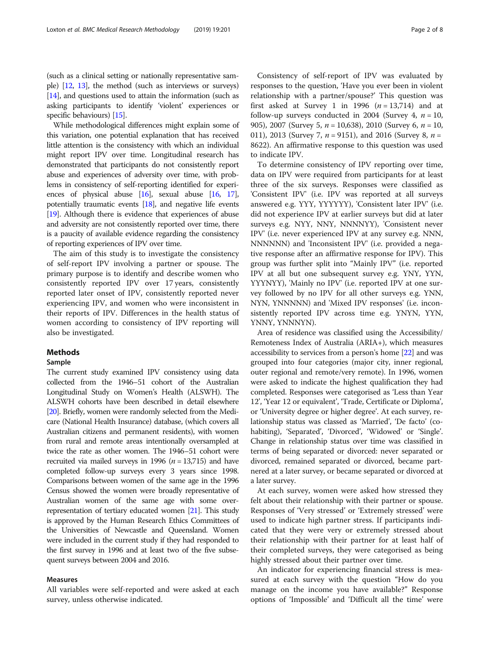(such as a clinical setting or nationally representative sample) [[12](#page-6-0), [13\]](#page-6-0), the method (such as interviews or surveys) [[14](#page-6-0)], and questions used to attain the information (such as asking participants to identify 'violent' experiences or specific behaviours) [[15](#page-6-0)].

While methodological differences might explain some of this variation, one potential explanation that has received little attention is the consistency with which an individual might report IPV over time. Longitudinal research has demonstrated that participants do not consistently report abuse and experiences of adversity over time, with problems in consistency of self-reporting identified for experiences of physical abuse  $[16]$ , sexual abuse  $[16, 17]$  $[16, 17]$  $[16, 17]$  $[16, 17]$ , potentially traumatic events [[18](#page-6-0)], and negative life events [[19](#page-6-0)]. Although there is evidence that experiences of abuse and adversity are not consistently reported over time, there is a paucity of available evidence regarding the consistency of reporting experiences of IPV over time.

The aim of this study is to investigate the consistency of self-report IPV involving a partner or spouse. The primary purpose is to identify and describe women who consistently reported IPV over 17 years, consistently reported later onset of IPV, consistently reported never experiencing IPV, and women who were inconsistent in their reports of IPV. Differences in the health status of women according to consistency of IPV reporting will also be investigated.

#### **Methods**

## Sample

The current study examined IPV consistency using data collected from the 1946–51 cohort of the Australian Longitudinal Study on Women's Health (ALSWH). The ALSWH cohorts have been described in detail elsewhere [[20\]](#page-6-0). Briefly, women were randomly selected from the Medicare (National Health Insurance) database, (which covers all Australian citizens and permanent residents), with women from rural and remote areas intentionally oversampled at twice the rate as other women. The 1946–51 cohort were recruited via mailed surveys in 1996 ( $n = 13,715$ ) and have completed follow-up surveys every 3 years since 1998. Comparisons between women of the same age in the 1996 Census showed the women were broadly representative of Australian women of the same age with some overrepresentation of tertiary educated women [\[21](#page-6-0)]. This study is approved by the Human Research Ethics Committees of the Universities of Newcastle and Queensland. Women were included in the current study if they had responded to the first survey in 1996 and at least two of the five subsequent surveys between 2004 and 2016.

## Measures

All variables were self-reported and were asked at each survey, unless otherwise indicated.

Consistency of self-report of IPV was evaluated by responses to the question, 'Have you ever been in violent relationship with a partner/spouse?' This question was first asked at Survey 1 in 1996  $(n = 13,714)$  and at follow-up surveys conducted in 2004 (Survey 4,  $n = 10$ , 905), 2007 (Survey 5,  $n = 10,638$ ), 2010 (Survey 6,  $n = 10$ , 011), 2013 (Survey 7,  $n = 9151$ ), and 2016 (Survey 8,  $n =$ 8622). An affirmative response to this question was used to indicate IPV.

To determine consistency of IPV reporting over time, data on IPV were required from participants for at least three of the six surveys. Responses were classified as 'Consistent IPV' (i.e. IPV was reported at all surveys answered e.g. YYY, YYYYYY), 'Consistent later IPV' (i.e. did not experience IPV at earlier surveys but did at later surveys e.g. NYY, NNY, NNNNYY), 'Consistent never IPV' (i.e. never experienced IPV at any survey e.g. NNN, NNNNNN) and 'Inconsistent IPV' (i.e. provided a negative response after an affirmative response for IPV). This group was further split into "Mainly IPV" (i.e. reported IPV at all but one subsequent survey e.g. YNY, YYN, YYYNYY), 'Mainly no IPV' (i.e. reported IPV at one survey followed by no IPV for all other surveys e.g. YNN, NYN, YNNNNN) and 'Mixed IPV responses' (i.e. inconsistently reported IPV across time e.g. YNYN, YYN, YNNY, YNNNYN).

Area of residence was classified using the Accessibility/ Remoteness Index of Australia (ARIA+), which measures accessibility to services from a person's home [[22\]](#page-6-0) and was grouped into four categories (major city, inner regional, outer regional and remote/very remote). In 1996, women were asked to indicate the highest qualification they had completed. Responses were categorised as 'Less than Year 12', 'Year 12 or equivalent', 'Trade, Certificate or Diploma', or 'University degree or higher degree'. At each survey, relationship status was classed as 'Married', 'De facto' (cohabiting), 'Separated', 'Divorced', 'Widowed' or 'Single'. Change in relationship status over time was classified in terms of being separated or divorced: never separated or divorced, remained separated or divorced, became partnered at a later survey, or became separated or divorced at a later survey.

At each survey, women were asked how stressed they felt about their relationship with their partner or spouse. Responses of 'Very stressed' or 'Extremely stressed' were used to indicate high partner stress. If participants indicated that they were very or extremely stressed about their relationship with their partner for at least half of their completed surveys, they were categorised as being highly stressed about their partner over time.

An indicator for experiencing financial stress is measured at each survey with the question "How do you manage on the income you have available?" Response options of 'Impossible' and 'Difficult all the time' were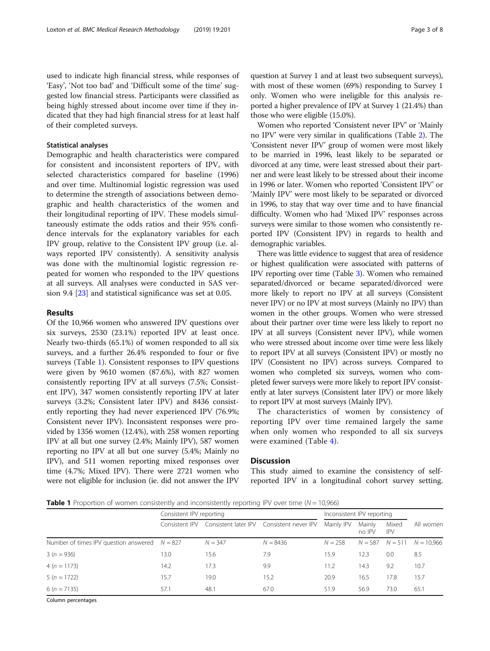used to indicate high financial stress, while responses of 'Easy', 'Not too bad' and 'Difficult some of the time' suggested low financial stress. Participants were classified as being highly stressed about income over time if they indicated that they had high financial stress for at least half of their completed surveys.

# Statistical analyses

Demographic and health characteristics were compared for consistent and inconsistent reporters of IPV, with selected characteristics compared for baseline (1996) and over time. Multinomial logistic regression was used to determine the strength of associations between demographic and health characteristics of the women and their longitudinal reporting of IPV. These models simultaneously estimate the odds ratios and their 95% confidence intervals for the explanatory variables for each IPV group, relative to the Consistent IPV group (i.e. always reported IPV consistently). A sensitivity analysis was done with the multinomial logistic regression repeated for women who responded to the IPV questions at all surveys. All analyses were conducted in SAS version 9.4 [[23](#page-6-0)] and statistical significance was set at 0.05.

# Results

Of the 10,966 women who answered IPV questions over six surveys, 2530 (23.1%) reported IPV at least once. Nearly two-thirds (65.1%) of women responded to all six surveys, and a further 26.4% responded to four or five surveys (Table 1). Consistent responses to IPV questions were given by 9610 women (87.6%), with 827 women consistently reporting IPV at all surveys (7.5%; Consistent IPV), 347 women consistently reporting IPV at later surveys (3.2%; Consistent later IPV) and 8436 consistently reporting they had never experienced IPV (76.9%; Consistent never IPV). Inconsistent responses were provided by 1356 women (12.4%), with 258 women reporting IPV at all but one survey (2.4%; Mainly IPV), 587 women reporting no IPV at all but one survey (5.4%; Mainly no IPV), and 511 women reporting mixed responses over time (4.7%; Mixed IPV). There were 2721 women who were not eligible for inclusion (ie. did not answer the IPV question at Survey 1 and at least two subsequent surveys), with most of these women (69%) responding to Survey 1 only. Women who were ineligible for this analysis reported a higher prevalence of IPV at Survey 1 (21.4%) than those who were eligible (15.0%).

Women who reported 'Consistent never IPV' or 'Mainly no IPV' were very similar in qualifications (Table [2\)](#page-3-0). The 'Consistent never IPV' group of women were most likely to be married in 1996, least likely to be separated or divorced at any time, were least stressed about their partner and were least likely to be stressed about their income in 1996 or later. Women who reported 'Consistent IPV' or 'Mainly IPV' were most likely to be separated or divorced in 1996, to stay that way over time and to have financial difficulty. Women who had 'Mixed IPV' responses across surveys were similar to those women who consistently reported IPV (Consistent IPV) in regards to health and demographic variables.

There was little evidence to suggest that area of residence or highest qualification were associated with patterns of IPV reporting over time (Table [3](#page-4-0)). Women who remained separated/divorced or became separated/divorced were more likely to report no IPV at all surveys (Consistent never IPV) or no IPV at most surveys (Mainly no IPV) than women in the other groups. Women who were stressed about their partner over time were less likely to report no IPV at all surveys (Consistent never IPV), while women who were stressed about income over time were less likely to report IPV at all surveys (Consistent IPV) or mostly no IPV (Consistent no IPV) across surveys. Compared to women who completed six surveys, women who completed fewer surveys were more likely to report IPV consistently at later surveys (Consistent later IPV) or more likely to report IPV at most surveys (Mainly IPV).

The characteristics of women by consistency of reporting IPV over time remained largely the same when only women who responded to all six surveys were examined (Table [4](#page-5-0)).

# **Discussion**

This study aimed to examine the consistency of selfreported IPV in a longitudinal cohort survey setting.

**Table 1** Proportion of women consistently and inconsistently reporting IPV over time ( $N = 10,966$ )

|                                                 | Consistent IPV reporting |           |                                           | Inconsistent IPV reporting |                     |                     |              |
|-------------------------------------------------|--------------------------|-----------|-------------------------------------------|----------------------------|---------------------|---------------------|--------------|
|                                                 | Consistent IPV           |           | Consistent later IPV Consistent never IPV | Mainly IPV                 | Mainly<br>no IPV    | Mixed<br><b>IPV</b> | All women    |
| Number of times IPV question answered $N = 827$ |                          | $N = 347$ | $N = 8436$                                | $N = 258$                  | $N = 587$ $N = 511$ |                     | $N = 10.966$ |
| $3(n = 936)$                                    | 13.0                     | 15.6      | 7.9                                       | 15.9                       | 12.3                | 0.0                 | 8.5          |
| $4(n = 1173)$                                   | 14.2                     | 17.3      | 9.9                                       | 11.2                       | 14.3                | 9.2                 | 10.7         |
| $5(n = 1722)$                                   | 15.7                     | 19.0      | 15.2                                      | 20.9                       | 16.5                | 17.8                | 15.7         |
| $6(n = 7135)$                                   | 57.1                     | 48.1      | 67.0                                      | 51.9                       | 56.9                | 73.0                | 65.1         |

Column percentages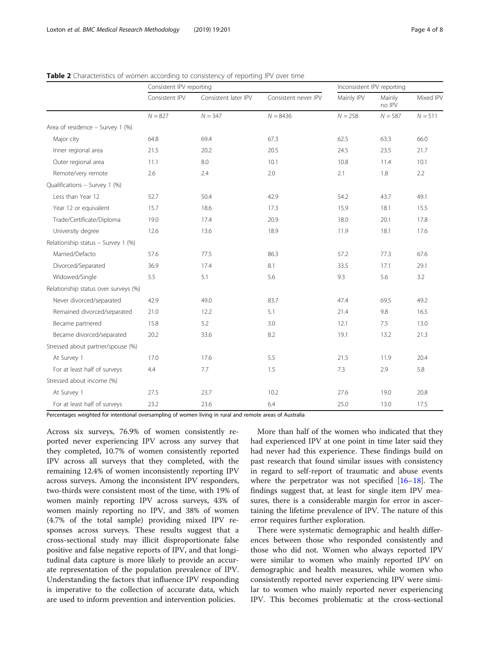|                                      |                | Consistent IPV reporting |                      |            | Inconsistent IPV reporting |           |  |
|--------------------------------------|----------------|--------------------------|----------------------|------------|----------------------------|-----------|--|
|                                      | Consistent IPV | Consistent later IPV     | Consistent never IPV | Mainly IPV | Mainly<br>no IPV           | Mixed IPV |  |
|                                      | $N = 827$      | $N = 347$                | $N = 8436$           | $N = 258$  | $N = 587$                  | $N = 511$ |  |
| Area of residence - Survey 1 (%)     |                |                          |                      |            |                            |           |  |
| Major city                           | 64.8           | 69.4                     | 67.3                 | 62.5       | 63.3                       | 66.0      |  |
| Inner regional area                  | 21.5           | 20.2                     | 20.5                 | 24.5       | 23.5                       | 21.7      |  |
| Outer regional area                  | 11.1           | 8.0                      | 10.1                 | 10.8       | 11.4                       | 10.1      |  |
| Remote/very remote                   | 2.6            | 2.4                      | 2.0                  | 2.1        | 1.8                        | 2.2       |  |
| Qualifications - Survey 1 (%)        |                |                          |                      |            |                            |           |  |
| Less than Year 12                    | 52.7           | 50.4                     | 42.9                 | 54.2       | 43.7                       | 49.1      |  |
| Year 12 or equivalent                | 15.7           | 18.6                     | 17.3                 | 15.9       | 18.1                       | 15.5      |  |
| Trade/Certificate/Diploma            | 19.0           | 17.4                     | 20.9                 | 18.0       | 20.1                       | 17.8      |  |
| University degree                    | 12.6           | 13.6                     | 18.9                 | 11.9       | 18.1                       | 17.6      |  |
| Relationship status - Survey 1 (%)   |                |                          |                      |            |                            |           |  |
| Married/Defacto                      | 57.6           | 77.5                     | 86.3                 | 57.2       | 77.3                       | 67.6      |  |
| Divorced/Separated                   | 36.9           | 17.4                     | 8.1                  | 33.5       | 17.1                       | 29.1      |  |
| Widowed/Single                       | 5.5            | 5.1                      | 5.6                  | 9.3        | 5.6                        | 3.2       |  |
| Relationship status over surveys (%) |                |                          |                      |            |                            |           |  |
| Never divorced/separated             | 42.9           | 49.0                     | 83.7                 | 47.4       | 69.5                       | 49.2      |  |
| Remained divorced/separated          | 21.0           | 12.2                     | 5.1                  | 21.4       | 9.8                        | 16.5      |  |
| Became partnered                     | 15.8           | 5.2                      | 3.0                  | 12.1       | 7.5                        | 13.0      |  |
| Became divorced/separated            | 20.2           | 33.6                     | 8.2                  | 19.1       | 13.2                       | 21.3      |  |
| Stressed about partner/spouse (%)    |                |                          |                      |            |                            |           |  |
| At Survey 1                          | 17.0           | 17.6                     | 5.5                  | 21.5       | 11.9                       | 20.4      |  |
| For at least half of surveys         | 4.4            | 7.7                      | 1.5                  | 7.3        | 2.9                        | 5.8       |  |
| Stressed about income (%)            |                |                          |                      |            |                            |           |  |
| At Survey 1                          | 27.5           | 23.7                     | 10.2                 | 27.6       | 19.0                       | 20.8      |  |
| For at least half of surveys         | 23.2           | 23.6                     | 6.4                  | 25.0       | 13.0                       | 17.5      |  |

<span id="page-3-0"></span>Table 2 Characteristics of women according to consistency of reporting IPV over time

Percentages weighted for intentional oversampling of women living in rural and remote areas of Australia

Across six surveys, 76.9% of women consistently reported never experiencing IPV across any survey that they completed, 10.7% of women consistently reported IPV across all surveys that they completed, with the remaining 12.4% of women inconsistently reporting IPV across surveys. Among the inconsistent IPV responders, two-thirds were consistent most of the time, with 19% of women mainly reporting IPV across surveys, 43% of women mainly reporting no IPV, and 38% of women (4.7% of the total sample) providing mixed IPV responses across surveys. These results suggest that a cross-sectional study may illicit disproportionate false positive and false negative reports of IPV, and that longitudinal data capture is more likely to provide an accurate representation of the population prevalence of IPV. Understanding the factors that influence IPV responding is imperative to the collection of accurate data, which are used to inform prevention and intervention policies.

More than half of the women who indicated that they had experienced IPV at one point in time later said they had never had this experience. These findings build on past research that found similar issues with consistency in regard to self-report of traumatic and abuse events where the perpetrator was not specified  $[16-18]$  $[16-18]$  $[16-18]$ . The findings suggest that, at least for single item IPV measures, there is a considerable margin for error in ascertaining the lifetime prevalence of IPV. The nature of this error requires further exploration.

There were systematic demographic and health differences between those who responded consistently and those who did not. Women who always reported IPV were similar to women who mainly reported IPV on demographic and health measures, while women who consistently reported never experiencing IPV were similar to women who mainly reported never experiencing IPV. This becomes problematic at the cross-sectional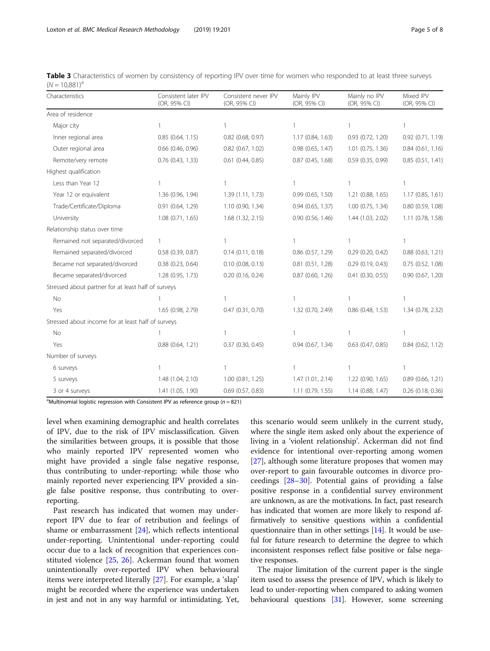| Characteristics                                     | Consistent later IPV<br>(OR, 95% CI) | Consistent never IPV<br>(OR, 95% CI) | Mainly IPV<br>(OR, 95% CI) | Mainly no IPV<br>(OR, 95% CI) | Mixed IPV<br>(OR, 95% CI) |
|-----------------------------------------------------|--------------------------------------|--------------------------------------|----------------------------|-------------------------------|---------------------------|
| Area of residence                                   |                                      |                                      |                            |                               |                           |
| Major city                                          | 1                                    |                                      | $\mathbf{1}$               | 1                             | $\mathbf{1}$              |
| Inner regional area                                 | 0.85(0.64, 1.15)                     | $0.82$ (0.68, 0.97)                  | 1.17(0.84, 1.63)           | 0.93(0.72, 1.20)              | $0.92$ $(0.71, 1.19)$     |
| Outer regional area                                 | $0.66$ $(0.46, 0.96)$                | $0.82$ (0.67, 1.02)                  | 0.98 (0.65, 1.47)          | $1.01$ (0.75, 1.36)           | $0.84$ (0.61, 1.16)       |
| Remote/very remote                                  | 0.76 (0.43, 1.33)                    | $0.61$ (0.44, 0.85)                  | 0.87(0.45, 1.68)           | 0.59(0.35, 0.99)              | 0.85(0.51, 1.41)          |
| Highest qualification                               |                                      |                                      |                            |                               |                           |
| Less than Year 12                                   | 1                                    |                                      | 1                          | 1                             | $\mathbf{1}$              |
| Year 12 or equivalent                               | 1.36 (0.96, 1.94)                    | 1.39 (1.11, 1.73)                    | 0.99(0.65, 1.50)           | 1.21 (0.88, 1.65)             | 1.17(0.85, 1.61)          |
| Trade/Certificate/Diploma                           | 0.91(0.64, 1.29)                     | 1.10 (0.90, 1.34)                    | 0.94(0.65, 1.37)           | $1.00$ $(0.75, 1.34)$         | 0.80 (0.59, 1.08)         |
| University                                          | 1.08(0.71, 1.65)                     | 1.68 (1.32, 2.15)                    | 0.90(0.56, 1.46)           | 1.44 (1.03, 2.02)             | 1.11 (0.78, 1.58)         |
| Relationship status over time                       |                                      |                                      |                            |                               |                           |
| Remained not separated/divorced                     | $\mathbf{1}$                         |                                      | 1                          | 1                             | $\mathbf{1}$              |
| Remained separated/divorced                         | 0.58 (0.39, 0.87)                    | $0.14$ $(0.11, 0.18)$                | $0.86$ (0.57, 1.29)        | $0.29$ (0.20, 0.42)           | $0.88$ $(0.63, 1.21)$     |
| Became not separated/divorced                       | $0.38$ $(0.23, 0.64)$                | $0.10$ (0.08, 0.13)                  | $0.81$ $(0.51, 1.28)$      | 0.29(0.19, 0.43)              | $0.75$ $(0.52, 1.08)$     |
| Became separated/divorced                           | 1.28 (0.95, 1.73)                    | $0.20$ (0.16, 0.24)                  | 0.87(0.60, 1.26)           | $0.41$ $(0.30, 0.55)$         | $0.90$ $(0.67, 1.20)$     |
| Stressed about partner for at least half of surveys |                                      |                                      |                            |                               |                           |
| No                                                  |                                      |                                      | $\mathbf{1}$               | $\mathbf{1}$                  | $\mathbf{1}$              |
| Yes                                                 | 1.65 (0.98, 2.79)                    | $0.47$ $(0.31, 0.70)$                | 1.32 (0.70, 2.49)          | 0.86 (0.48, 1.53)             | 1.34 (0.78, 2.32)         |
| Stressed about income for at least half of surveys  |                                      |                                      |                            |                               |                           |
| No                                                  |                                      |                                      |                            |                               |                           |
| Yes                                                 | 0.88(0.64, 1.21)                     | $0.37$ $(0.30, 0.45)$                | 0.94(0.67, 1.34)           | $0.63$ $(0.47, 0.85)$         | $0.84$ (0.62, 1.12)       |
| Number of surveys                                   |                                      |                                      |                            |                               |                           |
| 6 surveys                                           | 1                                    |                                      |                            | 1                             | $\mathbf{1}$              |
| 5 surveys                                           | 1.48 (1.04, 2.10)                    | $1.00$ $(0.81, 1.25)$                | 1.47(1.01, 2.14)           | 1.22 (0.90, 1.65)             | $0.89$ (0.66, 1.21)       |
| 3 or 4 surveys                                      | 1.41 (1.05, 1.90)                    | $0.69$ $(0.57, 0.83)$                | 1.11 (0.79, 1.55)          | 1.14(0.88, 1.47)              | $0.26$ (0.18, 0.36)       |

<span id="page-4-0"></span>Table 3 Characteristics of women by consistency of reporting IPV over time for women who responded to at least three surveys  $(N = 10.881)^{a}$ 

<sup>a</sup>Multinomial logistic regression with Consistent IPV as reference group ( $n = 821$ )

level when examining demographic and health correlates of IPV, due to the risk of IPV misclassification. Given the similarities between groups, it is possible that those who mainly reported IPV represented women who might have provided a single false negative response, thus contributing to under-reporting; while those who mainly reported never experiencing IPV provided a single false positive response, thus contributing to overreporting.

Past research has indicated that women may underreport IPV due to fear of retribution and feelings of shame or embarrassment [\[24](#page-6-0)], which reflects intentional under-reporting. Unintentional under-reporting could occur due to a lack of recognition that experiences constituted violence [[25,](#page-6-0) [26](#page-6-0)]. Ackerman found that women unintentionally over-reported IPV when behavioural items were interpreted literally [[27\]](#page-6-0). For example, a 'slap' might be recorded where the experience was undertaken in jest and not in any way harmful or intimidating. Yet,

this scenario would seem unlikely in the current study, where the single item asked only about the experience of living in a 'violent relationship'. Ackerman did not find evidence for intentional over-reporting among women [[27\]](#page-6-0), although some literature proposes that women may over-report to gain favourable outcomes in divorce proceedings [\[28](#page-6-0)–[30\]](#page-6-0). Potential gains of providing a false positive response in a confidential survey environment are unknown, as are the motivations. In fact, past research has indicated that women are more likely to respond affirmatively to sensitive questions within a confidential questionnaire than in other settings [[14](#page-6-0)]. It would be useful for future research to determine the degree to which inconsistent responses reflect false positive or false negative responses.

The major limitation of the current paper is the single item used to assess the presence of IPV, which is likely to lead to under-reporting when compared to asking women behavioural questions [\[31\]](#page-6-0). However, some screening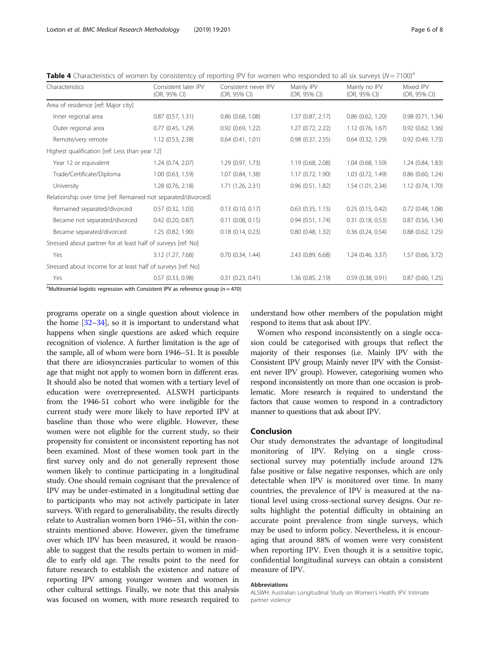<span id="page-5-0"></span>Table 4 Characteristics of women by consistentcy of reporting IPV for women who responded to all six surveys  $(N = 7100)^a$ 

| Characteristics                                                                                       | Consistent later IPV<br>(OR, 95% CI) | Consistent never IPV<br>(OR, 95% CI) | Mainly IPV<br>(OR, 95% CI) | Mainly no IPV<br>(OR, 95% CI) | Mixed IPV<br>(OR, 95% CI) |
|-------------------------------------------------------------------------------------------------------|--------------------------------------|--------------------------------------|----------------------------|-------------------------------|---------------------------|
| Area of residence [ref: Major city]                                                                   |                                      |                                      |                            |                               |                           |
| Inner regional area                                                                                   | 0.87(0.57, 1.31)                     | $0.86$ $(0.68, 1.08)$                | 1.37(0.87, 2.17)           | $0.86$ $(0.62, 1.20)$         | 0.98 (0.71, 1.34)         |
| Outer regional area                                                                                   | 0.77(0.45, 1.29)                     | $0.92$ $(0.69, 1.22)$                | 1.27 (0.72, 2.22)          | $1.12$ (0.76, 1.67)           | $0.92$ $(0.62, 1.36)$     |
| Remote/very remote                                                                                    | 1.12 (0.53, 2.38)                    | $0.64$ $(0.41, 1.01)$                | $0.98$ $(0.37, 2.55)$      | $0.64$ $(0.32, 1.29)$         | 0.92 (0.49, 1.73)         |
| Highest qualification [ref: Less than year 12]                                                        |                                      |                                      |                            |                               |                           |
| Year 12 or equivalent                                                                                 | 1.24 (0.74, 2.07)                    | 1.29 (0.97, 1.73)                    | 1.19 (0.68, 2.08)          | 1.04 (0.68, 1.59)             | 1.24 (0.84, 1.83)         |
| Trade/Certificate/Diploma                                                                             | $1.00$ (0.63, 1.59)                  | 1.07 (0.84, 1.38)                    | 1.17(0.72, 1.90)           | 1.03 (0.72, 1.49)             | $0.86$ (0.60, 1.24)       |
| University                                                                                            | 1.28 (0.76, 2.18)                    | 1.71(1.26, 2.31)                     | 0.96(0.51, 1.82)           | 1.54 (1.01, 2.34)             | 1.12 (0.74, 1.70)         |
| Relationship over time [ref: Remained not separated/divorced]                                         |                                      |                                      |                            |                               |                           |
| Remained separated/divorced                                                                           | $0.57$ $(0.32, 1.03)$                | $0.13$ $(0.10, 0.17)$                | $0.63$ $(0.35, 1.15)$      | 0.25(0.15, 0.42)              | 0.72 (0.48, 1.08)         |
| Became not separated/divorced                                                                         | $0.42$ (0.20, 0.87)                  | $0.11$ $(0.08, 0.15)$                | 0.94(0.51, 1.74)           | $0.31$ $(0.18, 0.53)$         | $0.87$ (0.56, 1.34)       |
| Became separated/divorced                                                                             | 1.25(0.82, 1.90)                     | $0.18$ $(0.14, 0.23)$                | $0.80$ $(0.48, 1.32)$      | $0.36$ $(0.24, 0.54)$         | $0.88$ $(0.62, 1.25)$     |
| Stressed about partner for at least half of surveys [ref: No]                                         |                                      |                                      |                            |                               |                           |
| Yes                                                                                                   | 3.12 (1.27, 7.68)                    | $0.70$ $(0.34, 1.44)$                | 2.43 (0.89, 6.68)          | 1.24(0.46, 3.37)              | 1.57 (0.66, 3.72)         |
| Stressed about income for at least half of surveys [ref: No]                                          |                                      |                                      |                            |                               |                           |
| Yes<br>$\frac{1}{2}$ Multinomial logistic regression with Consistent IBV as reference group (n = 470) | 0.57(0.33, 0.98)                     | 0.31(0.23, 0.41)                     | 1.36(0.85, 2.19)           | 0.59(0.38, 0.91)              | $0.87$ (0.60, 1.25)       |

Multinomial logistic regression with Consistent IPV as reference group ( $n = 470$ )

programs operate on a single question about violence in the home  $[32-34]$  $[32-34]$  $[32-34]$  $[32-34]$ , so it is important to understand what happens when single questions are asked which require recognition of violence. A further limitation is the age of the sample, all of whom were born 1946–51. It is possible that there are idiosyncrasies particular to women of this age that might not apply to women born in different eras. It should also be noted that women with a tertiary level of education were overrepresented. ALSWH participants from the 1946-51 cohort who were ineligible for the current study were more likely to have reported IPV at baseline than those who were eligible. However, these women were not eligible for the current study, so their propensity for consistent or inconsistent reporting has not been examined. Most of these women took part in the first survey only and do not generally represent those women likely to continue participating in a longitudinal study. One should remain cognisant that the prevalence of IPV may be under-estimated in a longitudinal setting due to participants who may not actively participate in later surveys. With regard to generalisability, the results directly relate to Australian women born 1946–51, within the constraints mentioned above. However, given the timeframe over which IPV has been measured, it would be reasonable to suggest that the results pertain to women in middle to early old age. The results point to the need for future research to establish the existence and nature of reporting IPV among younger women and women in other cultural settings. Finally, we note that this analysis was focused on women, with more research required to

understand how other members of the population might respond to items that ask about IPV.

Women who respond inconsistently on a single occasion could be categorised with groups that reflect the majority of their responses (i.e. Mainly IPV with the Consistent IPV group; Mainly never IPV with the Consistent never IPV group). However, categorising women who respond inconsistently on more than one occasion is problematic. More research is required to understand the factors that cause women to respond in a contradictory manner to questions that ask about IPV.

#### Conclusion

Our study demonstrates the advantage of longitudinal monitoring of IPV. Relying on a single crosssectional survey may potentially include around 12% false positive or false negative responses, which are only detectable when IPV is monitored over time. In many countries, the prevalence of IPV is measured at the national level using cross-sectional survey designs. Our results highlight the potential difficulty in obtaining an accurate point prevalence from single surveys, which may be used to inform policy. Nevertheless, it is encouraging that around 88% of women were very consistent when reporting IPV. Even though it is a sensitive topic, confidential longitudinal surveys can obtain a consistent measure of IPV.

#### Abbreviations

ALSWH: Australian Longitudinal Study on Women's Health; IPV: Intimate partner violence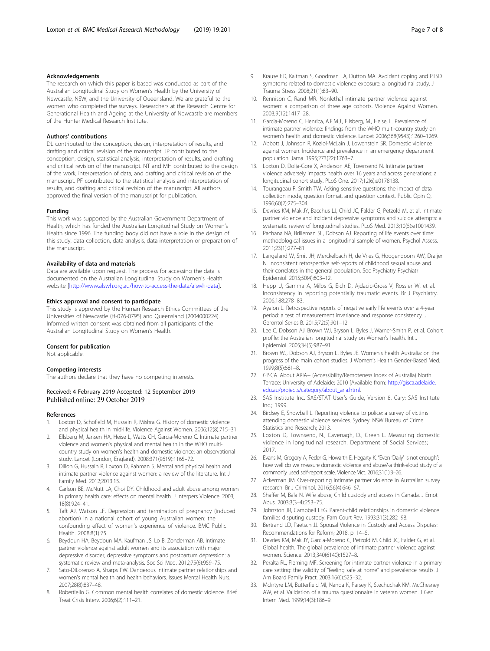#### <span id="page-6-0"></span>Acknowledgements

The research on which this paper is based was conducted as part of the Australian Longitudinal Study on Women's Health by the University of Newcastle, NSW, and the University of Queensland. We are grateful to the women who completed the surveys. Researchers at the Research Centre for Generational Health and Ageing at the University of Newcastle are members of the Hunter Medical Research Institute.

#### Authors' contributions

DL contributed to the conception, design, interpretation of results, and drafting and critical revision of the manuscript. JP contributed to the conception, design, statistical analysis, interpretation of results, and drafting and critical revision of the manuscript. NT and MH contributed to the design of the work, interpretation of data, and drafting and critical revision of the manuscript. PF contributed to the statistical analysis and interpretation of results, and drafting and critical revision of the manuscript. All authors approved the final version of the manuscript for publication.

#### Funding

This work was supported by the Australian Government Department of Health, which has funded the Australian Longitudinal Study on Women's Health since 1996. The funding body did not have a role in the design of this study, data collection, data analysis, data interpretation or preparation of the manuscript.

#### Availability of data and materials

Data are available upon request. The process for accessing the data is documented on the Australian Longitudinal Study on Women's Health website [\[http://www.alswh.org.au/how-to-access-the-data/alswh-data](http://www.alswh.org.au/how-to-access-the-data/alswh-data)].

#### Ethics approval and consent to participate

This study is approved by the Human Research Ethics Committees of the Universities of Newcastle (H-076-0795) and Queensland (2004000224). Informed written consent was obtained from all participants of the Australian Longitudinal Study on Women's Health.

#### Consent for publication

Not applicable.

#### Competing interests

The authors declare that they have no competing interests.

# Received: 4 February 2019 Accepted: 12 September 2019<br>Published online: 29 October 2019

#### References

- 1. Loxton D, Schofield M, Hussain R, Mishra G. History of domestic violence and physical health in mid-life. Violence Against Women. 2006;12(8):715–31.
- 2. Ellsberg M, Jansen HA, Heise L, Watts CH, Garcia-Moreno C. Intimate partner violence and women's physical and mental health in the WHO multicountry study on women's health and domestic violence: an observational study. Lancet (London, England). 2008;371(9619):1165–72.
- Dillon G, Hussain R, Loxton D, Rahman S. Mental and physical health and intimate partner violence against women: a review of the literature. Int J Family Med. 2012;2013:15.
- Carlson BE, McNutt LA, Choi DY. Childhood and adult abuse among women in primary health care: effects on mental health. J Interpers Violence. 2003; 18(8):924–41.
- Taft AJ, Watson LF. Depression and termination of pregnancy (induced abortion) in a national cohort of young Australian women: the confounding effect of women's experience of violence. BMC Public Health. 2008;8(1):75.
- 6. Beydoun HA, Beydoun MA, Kaufman JS, Lo B, Zonderman AB. Intimate partner violence against adult women and its association with major depressive disorder, depressive symptoms and postpartum depression: a systematic review and meta-analysis. Soc Sci Med. 2012;75(6):959–75.
- Sato-DiLorenzo A, Sharps PW. Dangerous intimate partner relationships and women's mental health and health behaviors. Issues Mental Health Nurs. 2007;28(8):837–48.
- Robertiello G. Common mental health correlates of domestic violence. Brief Treat Crisis Interv. 2006;6(2):111–21.
- 9. Krause ED, Kaltman S, Goodman LA, Dutton MA. Avoidant coping and PTSD symptoms related to domestic violence exposure: a longitudinal study. J Trauma Stress. 2008;21(1):83–90.
- 10. Rennison C, Rand MR. Nonlethal intimate partner violence against women: a comparison of three age cohorts. Violence Against Women. 2003;9(12):1417–28.
- 11. Garcia-Moreno C, Henrica, A.F.M.J., Ellsberg, M., Heise, L. Prevalence of intimate partner violence: findings from the WHO multi-country study on women's health and domestic violence. Lancet 2006;368(9543):1260–1269.
- 12. Abbott J, Johnson R, Koziol-McLain J, Lowenstein SR. Domestic violence against women. Incidence and prevalence in an emergency department population. Jama. 1995;273(22):1763–7.
- 13. Loxton D, Dolja-Gore X, Anderson AE, Townsend N. Intimate partner violence adversely impacts health over 16 years and across generations: a longitudinal cohort study. PLoS One. 2017;12(6):e0178138.
- 14. Tourangeau R, Smith TW. Asking sensitive questions: the impact of data collection mode, question format, and question context. Public Opin Q. 1996;60(2):275–304.
- 15. Devries KM, Mak JY, Bacchus LJ, Child JC, Falder G, Petzold M, et al. Intimate partner violence and incident depressive symptoms and suicide attempts: a systematic review of longitudinal studies. PLoS Med. 2013;10(5):e1001439.
- 16. Pachana NA, Brilleman SL, Dobson AJ. Reporting of life events over time: methodological issues in a longitudinal sample of women. Psychol Assess. 2011;23(1):277–81.
- 17. Langeland W, Smit JH, Merckelbach H, de Vries G, Hoogendoorn AW, Draijer N. Inconsistent retrospective self-reports of childhood sexual abuse and their correlates in the general population. Soc Psychiatry Psychiatr Epidemiol. 2015;50(4):603–12.
- 18. Hepp U, Gamma A, Milos G, Eich D, Ajdacic-Gross V, Rossler W, et al. Inconsistency in reporting potentially traumatic events. Br J Psychiatry. 2006;188:278–83.
- 19. Ayalon L. Retrospective reports of negative early life events over a 4-year period: a test of measurement invariance and response consistency. J Gerontol Series B. 2015;72(5):901–12.
- 20. Lee C, Dobson AJ, Brown WJ, Bryson L, Byles J, Warner-Smith P, et al. Cohort profile: the Australian longitudinal study on Women's health. Int J Epidemiol. 2005;34(5):987–91.
- 21. Brown WJ, Dobson AJ, Bryson L, Byles JE. Women's health Australia: on the progress of the main cohort studies. J Women's Health Gender-Based Med. 1999;8(5):681–8.
- 22. GISCA. About ARIA+ (Accessibility/Remoteness Index of Australia) North Terrace: University of Adelaide; 2010 [Available from: [http://gisca.adelaide.](http://gisca.adelaide.edu.au/projects/category/about_aria.html) [edu.au/projects/category/about\\_aria.html.](http://gisca.adelaide.edu.au/projects/category/about_aria.html)
- 23. SAS Institute Inc. SAS/STAT User's Guide, Version 8. Cary: SAS Institute Inc.; 1999.
- 24. Birdsey E, Snowball L. Reporting violence to police: a survey of victims attending domestic violence services. Sydney: NSW Bureau of Crime Statistics and Research; 2013.
- 25. Loxton D, Townsend, N., Cavenagh, D., Green L. Measuring domestic violence in longitudinal research. Department of Social Services; 2017.
- 26. Evans M, Gregory A, Feder G, Howarth E, Hegarty K. "Even 'Daily' is not enough": how well do we measure domestic violence and abuse?-a think-aloud study of a commonly used self-report scale. Violence Vict. 2016;31(1):3–26.
- 27. Ackerman JM. Over-reporting intimate partner violence in Australian survey research. Br J Criminol. 2016;56(4):646–67.
- 28. Shaffer M, Bala N. Wife abuse, Child custody and access in Canada. J Emot Abus. 2003;3(3–4):253–75.
- 29. Johnston JR, Campbell LEG. Parent-child relationships in domestic violence families disputing custody. Fam Court Rev. 1993;31(3):282–98.
- 30. Bertrand LD, Paetsch JJ. Spousal Violence in Custody and Access Disputes: Recommendations for Reform; 2018. p. 14–5.
- 31. Devries KM, Mak JY, Garcia-Moreno C, Petzold M, Child JC, Falder G, et al. Global health. The global prevalence of intimate partner violence against women. Science. 2013;340(6140):1527–8.
- 32. Peralta RL, Fleming MF. Screening for intimate partner violence in a primary care setting: the validity of "feeling safe at home" and prevalence results. J Am Board Family Pract. 2003;16(6):525–32.
- 33. McIntyre LM, Butterfield MI, Nanda K, Parsey K, Stechuchak KM, McChesney AW, et al. Validation of a trauma questionnaire in veteran women. J Gen Intern Med. 1999;14(3):186–9.